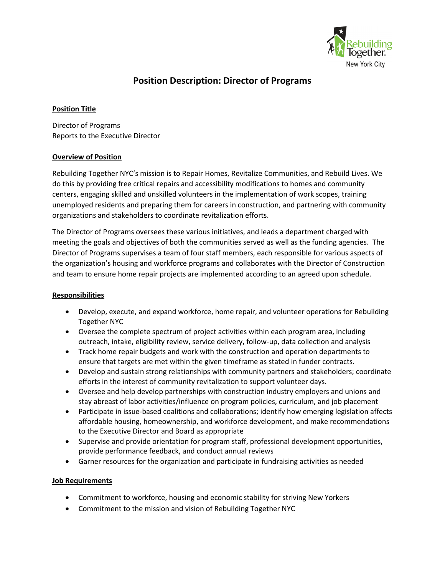

# **Position Description: Director of Programs**

### **Position Title**

Director of Programs Reports to the Executive Director

#### **Overview of Position**

Rebuilding Together NYC's mission is to Repair Homes, Revitalize Communities, and Rebuild Lives. We do this by providing free critical repairs and accessibility modifications to homes and community centers, engaging skilled and unskilled volunteers in the implementation of work scopes, training unemployed residents and preparing them for careers in construction, and partnering with community organizations and stakeholders to coordinate revitalization efforts.

The Director of Programs oversees these various initiatives, and leads a department charged with meeting the goals and objectives of both the communities served as well as the funding agencies. The Director of Programs supervises a team of four staff members, each responsible for various aspects of the organization's housing and workforce programs and collaborates with the Director of Construction and team to ensure home repair projects are implemented according to an agreed upon schedule.

## **Responsibilities**

- Develop, execute, and expand workforce, home repair, and volunteer operations for Rebuilding Together NYC
- Oversee the complete spectrum of project activities within each program area, including outreach, intake, eligibility review, service delivery, follow-up, data collection and analysis
- Track home repair budgets and work with the construction and operation departments to ensure that targets are met within the given timeframe as stated in funder contracts.
- Develop and sustain strong relationships with community partners and stakeholders; coordinate efforts in the interest of community revitalization to support volunteer days.
- Oversee and help develop partnerships with construction industry employers and unions and stay abreast of labor activities/influence on program policies, curriculum, and job placement
- Participate in issue-based coalitions and collaborations; identify how emerging legislation affects affordable housing, homeownership, and workforce development, and make recommendations to the Executive Director and Board as appropriate
- Supervise and provide orientation for program staff, professional development opportunities, provide performance feedback, and conduct annual reviews
- Garner resources for the organization and participate in fundraising activities as needed

## **Job Requirements**

- Commitment to workforce, housing and economic stability for striving New Yorkers
- Commitment to the mission and vision of Rebuilding Together NYC